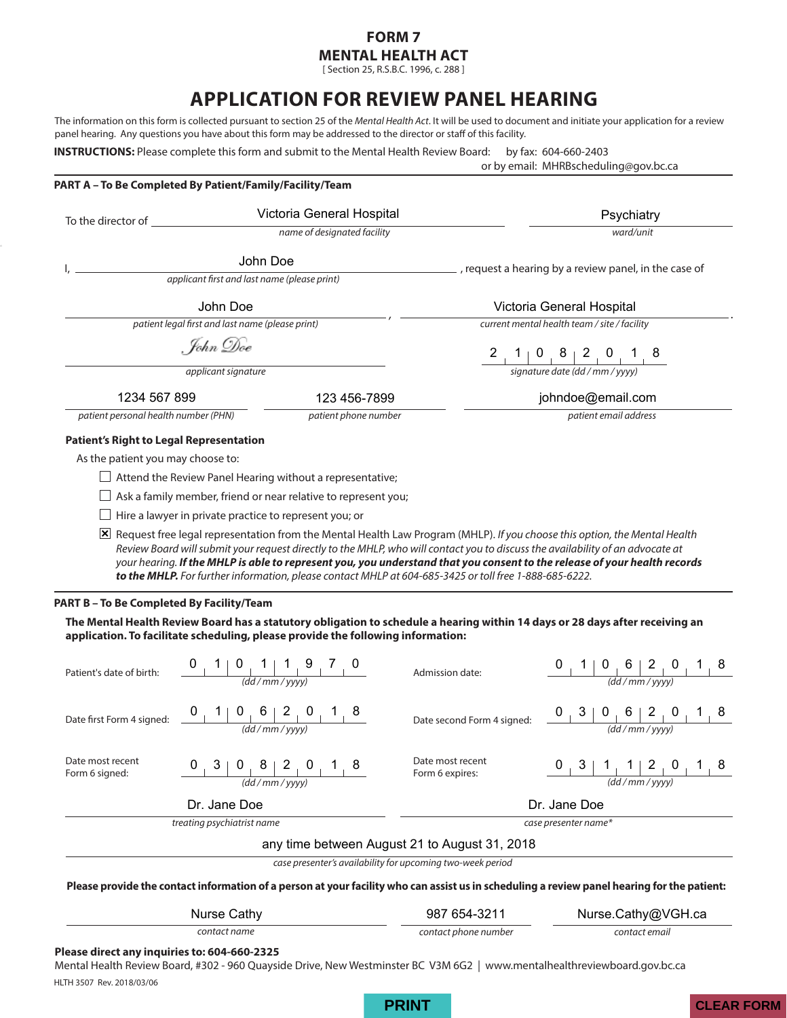### **FORM 7 MENTAL HEALTH ACT**

[ Section 25, R.S.B.C. 1996, c. 288 ]

# **APPLICATION FOR REVIEW PANEL HEARING**

The information on this form is collected pursuant to section 25 of the *Mental Health Act*. It will be used to document and initiate your application for a review panel hearing. Any questions you have about this form may be addressed to the director or staff of this facility.

**INSTRUCTIONS:** Please complete this form and submit to the Mental Health Review Board: by fax: 604-660-2403

**PART A – To Be Completed By Patient/Family/Facility/Team**

or by email: MHRBscheduling@gov.bc.ca

| To the director of                               | Victoria General Hospital                                                                                                                                                                                                                                                                                                                                                                                                                                                                              |                                              | Psychiatry                                                                                                                                                                                                                                                                                                                                                                         |  |
|--------------------------------------------------|--------------------------------------------------------------------------------------------------------------------------------------------------------------------------------------------------------------------------------------------------------------------------------------------------------------------------------------------------------------------------------------------------------------------------------------------------------------------------------------------------------|----------------------------------------------|------------------------------------------------------------------------------------------------------------------------------------------------------------------------------------------------------------------------------------------------------------------------------------------------------------------------------------------------------------------------------------|--|
|                                                  | name of designated facility                                                                                                                                                                                                                                                                                                                                                                                                                                                                            |                                              | ward/unit                                                                                                                                                                                                                                                                                                                                                                          |  |
|                                                  | John Doe<br>applicant first and last name (please print)                                                                                                                                                                                                                                                                                                                                                                                                                                               |                                              | , request a hearing by a review panel, in the case of                                                                                                                                                                                                                                                                                                                              |  |
|                                                  |                                                                                                                                                                                                                                                                                                                                                                                                                                                                                                        |                                              |                                                                                                                                                                                                                                                                                                                                                                                    |  |
| John Doe                                         |                                                                                                                                                                                                                                                                                                                                                                                                                                                                                                        |                                              | Victoria General Hospital                                                                                                                                                                                                                                                                                                                                                          |  |
| patient legal first and last name (please print) |                                                                                                                                                                                                                                                                                                                                                                                                                                                                                                        | current mental health team / site / facility |                                                                                                                                                                                                                                                                                                                                                                                    |  |
| . John Doe                                       |                                                                                                                                                                                                                                                                                                                                                                                                                                                                                                        |                                              | $\begin{array}{c c c c c} 2 & 1 & 0 & 8 & 2 & 0 & 1 & 8 \\ \hline \hline \text{signature date (dd/mm / yvvv)} & & & \end{array}$                                                                                                                                                                                                                                                   |  |
|                                                  | applicant signature                                                                                                                                                                                                                                                                                                                                                                                                                                                                                    |                                              |                                                                                                                                                                                                                                                                                                                                                                                    |  |
| 1234 567 899                                     | 123 456-7899                                                                                                                                                                                                                                                                                                                                                                                                                                                                                           | johndoe@email.com                            |                                                                                                                                                                                                                                                                                                                                                                                    |  |
| patient personal health number (PHN)             | patient phone number                                                                                                                                                                                                                                                                                                                                                                                                                                                                                   |                                              | patient email address                                                                                                                                                                                                                                                                                                                                                              |  |
| <b>Patient's Right to Legal Representation</b>   |                                                                                                                                                                                                                                                                                                                                                                                                                                                                                                        |                                              |                                                                                                                                                                                                                                                                                                                                                                                    |  |
| As the patient you may choose to:                |                                                                                                                                                                                                                                                                                                                                                                                                                                                                                                        |                                              |                                                                                                                                                                                                                                                                                                                                                                                    |  |
|                                                  | $\Box$ Attend the Review Panel Hearing without a representative;                                                                                                                                                                                                                                                                                                                                                                                                                                       |                                              |                                                                                                                                                                                                                                                                                                                                                                                    |  |
|                                                  | Ask a family member, friend or near relative to represent you;                                                                                                                                                                                                                                                                                                                                                                                                                                         |                                              |                                                                                                                                                                                                                                                                                                                                                                                    |  |
|                                                  | $\Box$ Hire a lawyer in private practice to represent you; or                                                                                                                                                                                                                                                                                                                                                                                                                                          |                                              |                                                                                                                                                                                                                                                                                                                                                                                    |  |
|                                                  | [X] Request free legal representation from the Mental Health Law Program (MHLP). If you choose this option, the Mental Health<br>Review Board will submit your request directly to the MHLP, who will contact you to discuss the availability of an advocate at<br>your hearing. If the MHLP is able to represent you, you understand that you consent to the release of your health records<br>to the MHLP. For further information, please contact MHLP at 604-685-3425 or toll free 1-888-685-6222. |                                              |                                                                                                                                                                                                                                                                                                                                                                                    |  |
| PART B - To Be Completed By Facility/Team        |                                                                                                                                                                                                                                                                                                                                                                                                                                                                                                        |                                              |                                                                                                                                                                                                                                                                                                                                                                                    |  |
|                                                  | The Mental Health Review Board has a statutory obligation to schedule a hearing within 14 days or 28 days after receiving an<br>application. To facilitate scheduling, please provide the following information:                                                                                                                                                                                                                                                                                       |                                              |                                                                                                                                                                                                                                                                                                                                                                                    |  |
| Patient's date of birth:                         | $\frac{0}{\frac{1}{\frac{1}{\frac{1}{\omega_1}} \cdot \frac{1}{\omega_2}}}{\frac{1}{\frac{1}{\omega_1}} \cdot \frac{1}{\frac{1}{\omega_2}} \cdot \frac{1}{\omega_1}}$                                                                                                                                                                                                                                                                                                                                  | Admission date:                              | $\frac{0}{\frac{1}{\frac{10}{\frac{10}{\frac{10}{\frac{10}{\frac{10}{\frac{10}{\frac{10}{\frac{10}{\frac{10}{\frac{10}{\frac{10}{\frac{10}{\frac{10}{\frac{10}{\frac{10}{\frac{10}{\frac{10}{\frac{10}{\frac{10}{\frac{10}{\frac{10}{\frac{10}{\frac{10}{\frac{10}{\frac{10}{\frac{10}{\frac{10}{\frac{10}{\frac{10}{\frac{10}{\frac{10}{\frac{10}{\frac{10}{\frac{10}{\frac{10}{$ |  |
|                                                  | Date first Form 4 signed: $\begin{array}{c c} 0 & 1 & 0 & 6 & 2 & 0 & 1 & 8 \ \hline & & & \frac{1}{(dd/mm/\text{vvv})} \end{array}$                                                                                                                                                                                                                                                                                                                                                                   | Date second Form 4 signed:                   | $\frac{0}{d}$ $\frac{3}{d}$ $\frac{0}{d}$ $\frac{6}{m}$ $\frac{2}{v}$ $\frac{0}{m}$ $\frac{1}{d}$ $\frac{8}{m}$                                                                                                                                                                                                                                                                    |  |
| Date most recent<br>Form 6 signed:               | $\begin{array}{c c c c c c c c c} 0 & 3 & 0 & 8 & 2 & 0 & 1 & 8 \ \hline & & & & & & & \end{array}$                                                                                                                                                                                                                                                                                                                                                                                                    | Date most recent<br>Form 6 expires:          | $\frac{0}{(dd/mm/yyyy)}$ $\frac{1}{(dd/mm/yyyy)}$                                                                                                                                                                                                                                                                                                                                  |  |

Dr. Jane Doe Dr. Jane Doe

**treating psychiatrist name** case presenter name\*

any time between August 21 to August 31, 2018

*case presenter's availability for upcoming two-week period*

**Please provide the contact information of a person at your facility who can assist us in scheduling a review panel hearing for the patient:** 

| Nurse Cathy  | 987 654-3211         | Nurse.Cathy@VGH.ca |
|--------------|----------------------|--------------------|
| contact name | contact phone number | contact email      |

#### **Please direct any inquiries to: 604-660-2325**

HLTH 3507 Rev. 2018/03/06 Mental Health Review Board, #302 - 960 Quayside Drive, New Westminster BC V3M 6G2 | www.mentalhealthreviewboard.gov.bc.ca